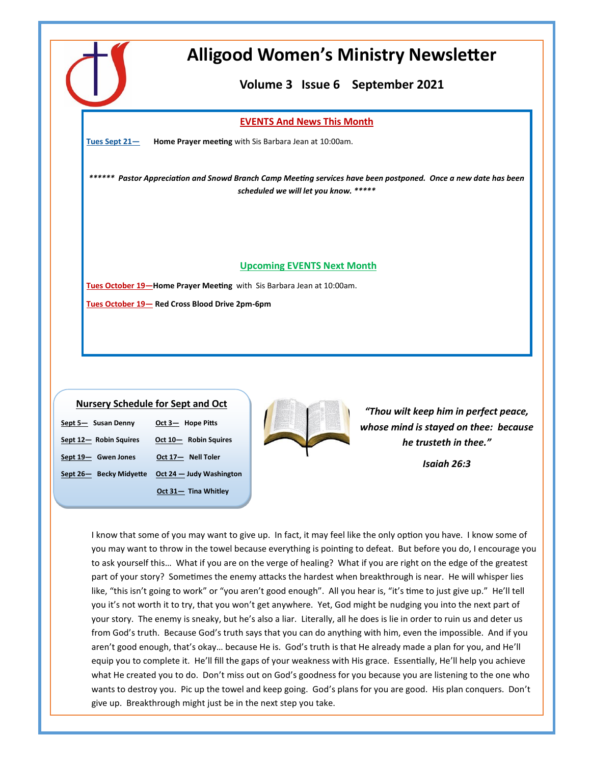

# **Alligood Women's Ministry Newsletter**

**Volume 3 Issue 6 September 2021** 

## **EVENTS And News This Month**

**Tues Sept 21— Home Prayer meeting** with Sis Barbara Jean at 10:00am.

*\*\*\*\*\*\* Pastor Appreciation and Snowd Branch Camp Meeting services have been postponed. Once a new date has been scheduled we will let you know. \*\*\*\*\**

## **Upcoming EVENTS Next Month**

**Tues October 19—Home Prayer Meeting** with Sis Barbara Jean at 10:00am. **Tues October 19— Red Cross Blood Drive 2pm-6pm**

## **Nursery Schedule for Sept and Oct**

| Sept 5- Susan Denny     | Oct 3- Hope Pitts        |
|-------------------------|--------------------------|
| Sept 12- Robin Squires  | Oct 10- Robin Squires    |
| Sept 19- Gwen Jones     | Oct 17- Nell Toler       |
| Sept 26- Becky Midyette | Oct 24 - Judy Washington |
|                         | Oct 31- Tina Whitley     |



*"Thou wilt keep him in perfect peace, whose mind is stayed on thee: because he trusteth in thee."*

*Isaiah 26:3* 

I know that some of you may want to give up. In fact, it may feel like the only option you have. I know some of you may want to throw in the towel because everything is pointing to defeat. But before you do, I encourage you to ask yourself this… What if you are on the verge of healing? What if you are right on the edge of the greatest part of your story? Sometimes the enemy attacks the hardest when breakthrough is near. He will whisper lies like, "this isn't going to work" or "you aren't good enough". All you hear is, "it's time to just give up." He'll tell you it's not worth it to try, that you won't get anywhere. Yet, God might be nudging you into the next part of your story. The enemy is sneaky, but he's also a liar. Literally, all he does is lie in order to ruin us and deter us from God's truth. Because God's truth says that you can do anything with him, even the impossible. And if you aren't good enough, that's okay… because He is. God's truth is that He already made a plan for you, and He'll equip you to complete it. He'll fill the gaps of your weakness with His grace. Essentially, He'll help you achieve what He created you to do. Don't miss out on God's goodness for you because you are listening to the one who wants to destroy you. Pic up the towel and keep going. God's plans for you are good. His plan conquers. Don't give up. Breakthrough might just be in the next step you take.